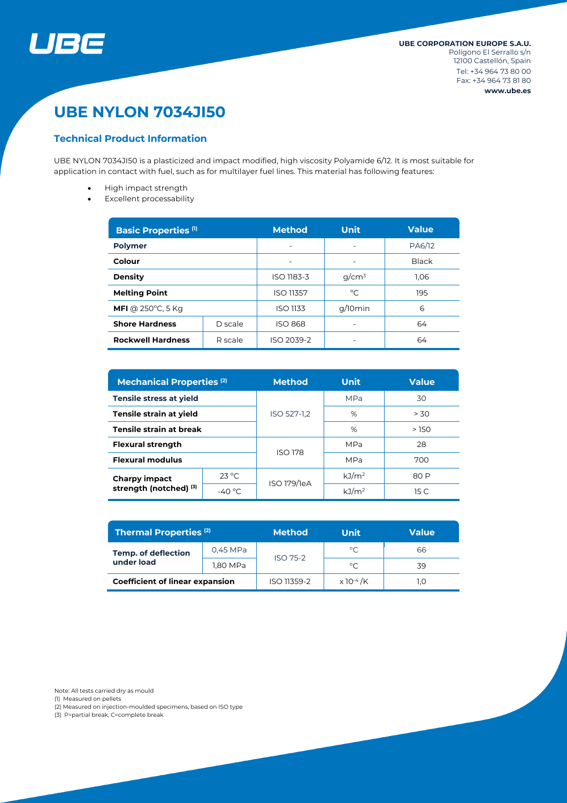

# **UBE NYLON 7034JI50**

## **Technical Product Information**

UBE NYLON 7034JI50 is a plasticized and impact modified, high viscosity Polyamide 6/12. It is most suitable for application in contact with fuel, such as for multilayer fuel lines. This material has following features:

- High impact strength
- Excellent processability

| <b>Basic Properties (1)</b> |         | <b>Method</b>    | Unit     | <b>Value</b> |  |
|-----------------------------|---------|------------------|----------|--------------|--|
| <b>Polymer</b>              |         |                  |          | PA6/12       |  |
| Colour                      |         |                  |          | <b>Black</b> |  |
| <b>Density</b>              |         | ISO 1183-3       | $q/cm^3$ | 1.06         |  |
| <b>Melting Point</b>        |         | <b>ISO 11357</b> | °C       | 195          |  |
| MFI @ $250^{\circ}$ C, 5 Kg |         | <b>ISO 1133</b>  | g/10min  | 6            |  |
| <b>Shore Hardness</b>       | D scale | <b>ISO 868</b>   |          | 64           |  |
| <b>Rockwell Hardness</b>    | R scale | ISO 2039-2       |          | 64           |  |

| <b>Mechanical Properties (2)</b>               |                 | <b>Method</b>  | <b>Unit</b>       | <b>Value</b>    |  |
|------------------------------------------------|-----------------|----------------|-------------------|-----------------|--|
| <b>Tensile stress at yield</b>                 |                 |                | <b>MPa</b>        | 30              |  |
| Tensile strain at yield                        |                 | ISO 527-1,2    | %                 | > 30            |  |
| Tensile strain at break                        |                 |                | %                 | >150            |  |
| <b>Flexural strength</b>                       |                 | <b>ISO 178</b> | <b>MPa</b>        | 28              |  |
| <b>Flexural modulus</b>                        |                 |                | <b>MPa</b>        | 700             |  |
| <b>Charpy impact</b><br>strength (notched) (3) | $23^{\circ}$ C  | ISO 179/1eA    | kJ/m <sup>2</sup> | 80 P            |  |
|                                                | $-40^{\circ}$ C |                | kJ/m <sup>2</sup> | 15 <sub>C</sub> |  |

| <b>Thermal Properties (2)</b>            |          | <b>Method</b>   | Unit                         | Value |  |
|------------------------------------------|----------|-----------------|------------------------------|-------|--|
| <b>Temp. of deflection</b><br>under load | 0.45 MPa | <b>ISO 75-2</b> | $^{\circ}C$                  | 66    |  |
|                                          | 1,80 MPa |                 | $^{\circ}C$                  | 39    |  |
| <b>Coefficient of linear expansion</b>   |          | ISO 11359-2     | $\times$ 10 <sup>-4</sup> /K | I.O   |  |

Note: All tests carried dry as mould

(1) Measured on pellets

(2) Measured on injection-moulded specimens, based on ISO type

(3) P=partial break, C=complete break